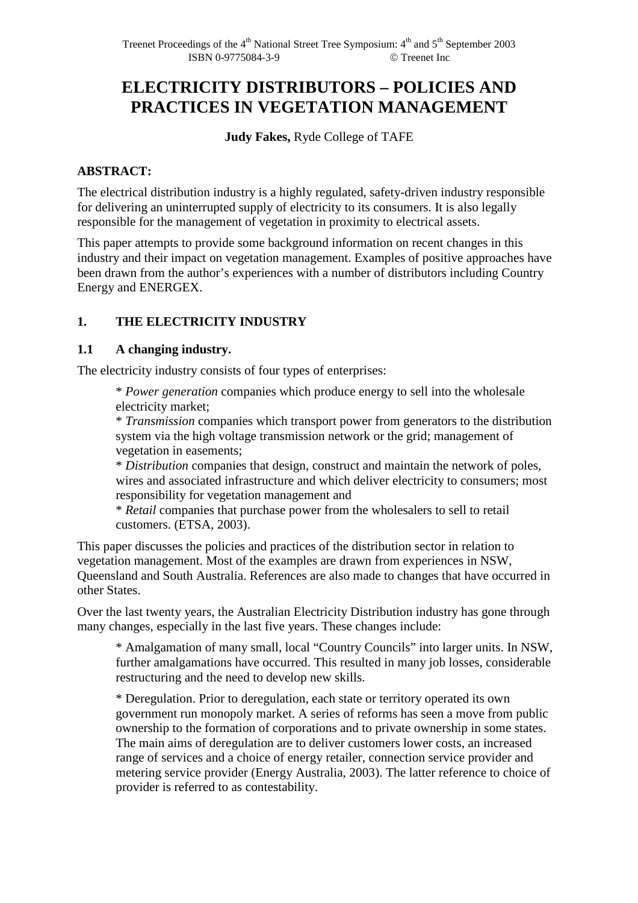# **ELECTRICITY DISTRIBUTORS – POLICIES AND PRACTICES IN VEGETATION MANAGEMENT**

**Judy Fakes,** Ryde College of TAFE

#### **ABSTRACT:**

The electrical distribution industry is a highly regulated, safety-driven industry responsible for delivering an uninterrupted supply of electricity to its consumers. It is also legally responsible for the management of vegetation in proximity to electrical assets.

This paper attempts to provide some background information on recent changes in this industry and their impact on vegetation management. Examples of positive approaches have been drawn from the author's experiences with a number of distributors including Country Energy and ENERGEX.

# **1. THE ELECTRICITY INDUSTRY**

#### **1.1 A changing industry.**

The electricity industry consists of four types of enterprises:

\* *Power generation* companies which produce energy to sell into the wholesale electricity market;

\* *Transmission* companies which transport power from generators to the distribution system via the high voltage transmission network or the grid; management of vegetation in easements;

\* *Distribution* companies that design, construct and maintain the network of poles, wires and associated infrastructure and which deliver electricity to consumers; most responsibility for vegetation management and

\* *Retail* companies that purchase power from the wholesalers to sell to retail customers. (ETSA, 2003).

This paper discusses the policies and practices of the distribution sector in relation to vegetation management. Most of the examples are drawn from experiences in NSW, Queensland and South Australia. References are also made to changes that have occurred in other States.

Over the last twenty years, the Australian Electricity Distribution industry has gone through many changes, especially in the last five years. These changes include:

\* Amalgamation of many small, local "Country Councils" into larger units. In NSW, further amalgamations have occurred. This resulted in many job losses, considerable restructuring and the need to develop new skills.

\* Deregulation. Prior to deregulation, each state or territory operated its own government run monopoly market. A series of reforms has seen a move from public ownership to the formation of corporations and to private ownership in some states. The main aims of deregulation are to deliver customers lower costs, an increased range of services and a choice of energy retailer, connection service provider and metering service provider (Energy Australia, 2003). The latter reference to choice of provider is referred to as contestability.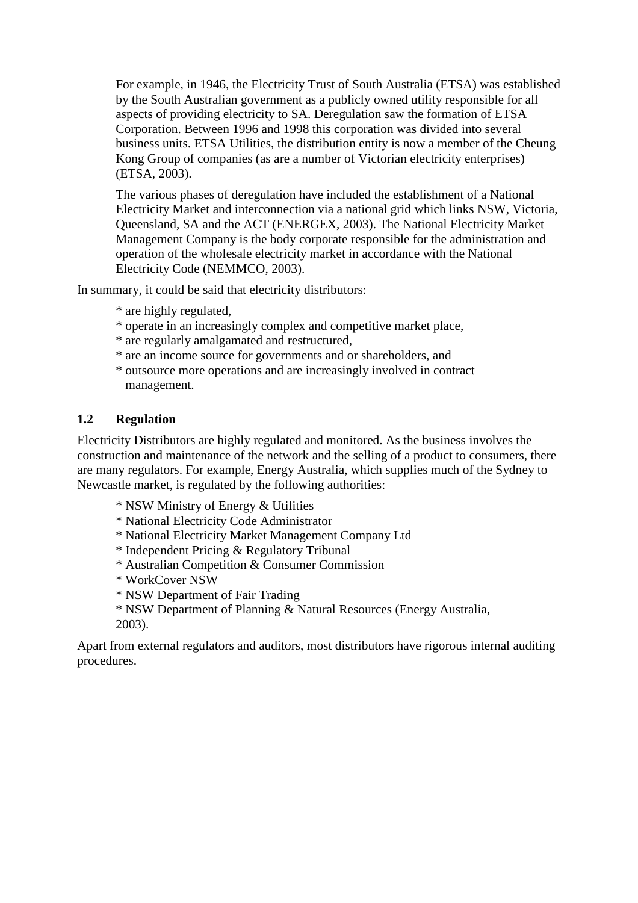For example, in 1946, the Electricity Trust of South Australia (ETSA) was established by the South Australian government as a publicly owned utility responsible for all aspects of providing electricity to SA. Deregulation saw the formation of ETSA Corporation. Between 1996 and 1998 this corporation was divided into several business units. ETSA Utilities, the distribution entity is now a member of the Cheung Kong Group of companies (as are a number of Victorian electricity enterprises) (ETSA, 2003).

The various phases of deregulation have included the establishment of a National Electricity Market and interconnection via a national grid which links NSW, Victoria, Queensland, SA and the ACT (ENERGEX, 2003). The National Electricity Market Management Company is the body corporate responsible for the administration and operation of the wholesale electricity market in accordance with the National Electricity Code (NEMMCO, 2003).

In summary, it could be said that electricity distributors:

- \* are highly regulated,
- \* operate in an increasingly complex and competitive market place,
- \* are regularly amalgamated and restructured,
- \* are an income source for governments and or shareholders, and
- \* outsource more operations and are increasingly involved in contract management.

#### **1.2 Regulation**

Electricity Distributors are highly regulated and monitored. As the business involves the construction and maintenance of the network and the selling of a product to consumers, there are many regulators. For example, Energy Australia, which supplies much of the Sydney to Newcastle market, is regulated by the following authorities:

- \* NSW Ministry of Energy & Utilities
- \* National Electricity Code Administrator
- \* National Electricity Market Management Company Ltd
- \* Independent Pricing & Regulatory Tribunal
- \* Australian Competition & Consumer Commission
- \* WorkCover NSW
- \* NSW Department of Fair Trading
- \* NSW Department of Planning & Natural Resources (Energy Australia, 2003).

Apart from external regulators and auditors, most distributors have rigorous internal auditing procedures.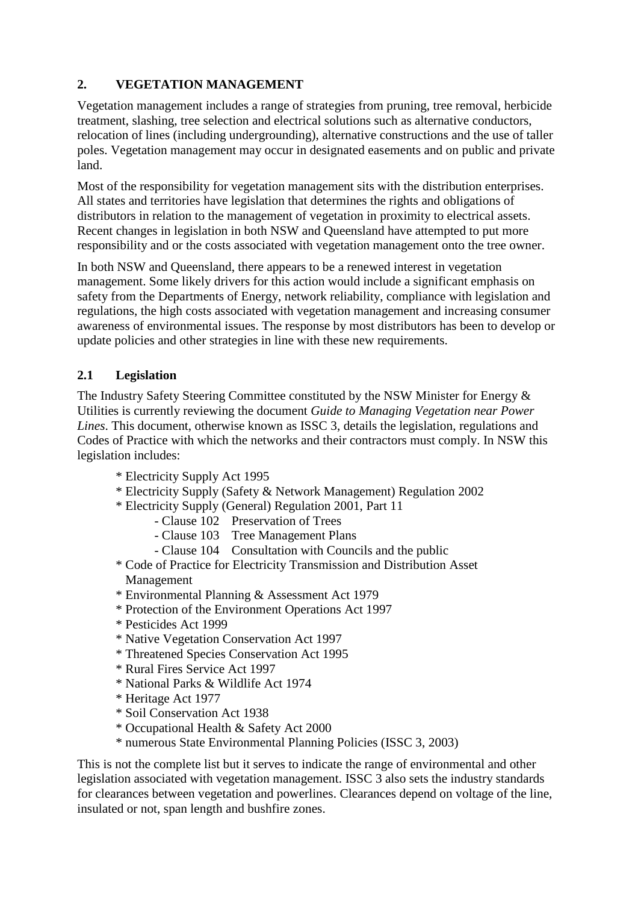## **2. VEGETATION MANAGEMENT**

Vegetation management includes a range of strategies from pruning, tree removal, herbicide treatment, slashing, tree selection and electrical solutions such as alternative conductors, relocation of lines (including undergrounding), alternative constructions and the use of taller poles. Vegetation management may occur in designated easements and on public and private land.

Most of the responsibility for vegetation management sits with the distribution enterprises. All states and territories have legislation that determines the rights and obligations of distributors in relation to the management of vegetation in proximity to electrical assets. Recent changes in legislation in both NSW and Queensland have attempted to put more responsibility and or the costs associated with vegetation management onto the tree owner.

In both NSW and Queensland, there appears to be a renewed interest in vegetation management. Some likely drivers for this action would include a significant emphasis on safety from the Departments of Energy, network reliability, compliance with legislation and regulations, the high costs associated with vegetation management and increasing consumer awareness of environmental issues. The response by most distributors has been to develop or update policies and other strategies in line with these new requirements.

## **2.1 Legislation**

The Industry Safety Steering Committee constituted by the NSW Minister for Energy  $\&$ Utilities is currently reviewing the document *Guide to Managing Vegetation near Power Lines*. This document, otherwise known as ISSC 3, details the legislation, regulations and Codes of Practice with which the networks and their contractors must comply. In NSW this legislation includes:

- \* Electricity Supply Act 1995
- \* Electricity Supply (Safety & Network Management) Regulation 2002
- \* Electricity Supply (General) Regulation 2001, Part 11
	- Clause 102 Preservation of Trees
	- Clause 103 Tree Management Plans
	- Clause 104 Consultation with Councils and the public
- \* Code of Practice for Electricity Transmission and Distribution Asset Management
- \* Environmental Planning & Assessment Act 1979
- \* Protection of the Environment Operations Act 1997
- \* Pesticides Act 1999
- \* Native Vegetation Conservation Act 1997
- \* Threatened Species Conservation Act 1995
- \* Rural Fires Service Act 1997
- \* National Parks & Wildlife Act 1974
- \* Heritage Act 1977
- \* Soil Conservation Act 1938
- \* Occupational Health & Safety Act 2000
- \* numerous State Environmental Planning Policies (ISSC 3, 2003)

This is not the complete list but it serves to indicate the range of environmental and other legislation associated with vegetation management. ISSC 3 also sets the industry standards for clearances between vegetation and powerlines. Clearances depend on voltage of the line, insulated or not, span length and bushfire zones.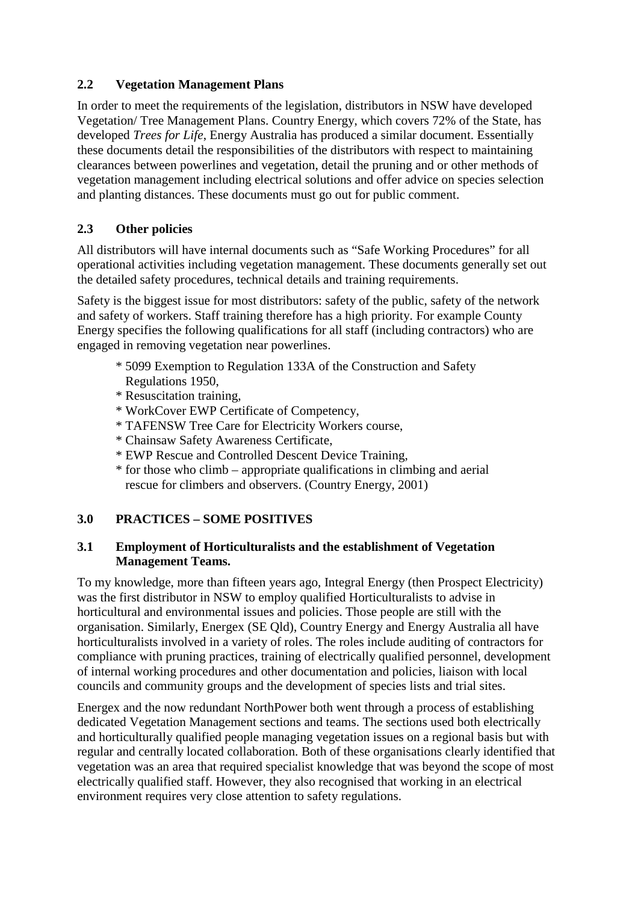### **2.2 Vegetation Management Plans**

In order to meet the requirements of the legislation, distributors in NSW have developed Vegetation/ Tree Management Plans. Country Energy, which covers 72% of the State, has developed *Trees for Life*, Energy Australia has produced a similar document. Essentially these documents detail the responsibilities of the distributors with respect to maintaining clearances between powerlines and vegetation, detail the pruning and or other methods of vegetation management including electrical solutions and offer advice on species selection and planting distances. These documents must go out for public comment.

## **2.3 Other policies**

All distributors will have internal documents such as "Safe Working Procedures" for all operational activities including vegetation management. These documents generally set out the detailed safety procedures, technical details and training requirements.

Safety is the biggest issue for most distributors: safety of the public, safety of the network and safety of workers. Staff training therefore has a high priority. For example County Energy specifies the following qualifications for all staff (including contractors) who are engaged in removing vegetation near powerlines.

- \* 5099 Exemption to Regulation 133A of the Construction and Safety Regulations 1950,
- \* Resuscitation training,
- \* WorkCover EWP Certificate of Competency,
- \* TAFENSW Tree Care for Electricity Workers course,
- \* Chainsaw Safety Awareness Certificate,
- \* EWP Rescue and Controlled Descent Device Training,
- \* for those who climb appropriate qualifications in climbing and aerial rescue for climbers and observers. (Country Energy, 2001)

#### **3.0 PRACTICES – SOME POSITIVES**

#### **3.1 Employment of Horticulturalists and the establishment of Vegetation Management Teams.**

To my knowledge, more than fifteen years ago, Integral Energy (then Prospect Electricity) was the first distributor in NSW to employ qualified Horticulturalists to advise in horticultural and environmental issues and policies. Those people are still with the organisation. Similarly, Energex (SE Qld), Country Energy and Energy Australia all have horticulturalists involved in a variety of roles. The roles include auditing of contractors for compliance with pruning practices, training of electrically qualified personnel, development of internal working procedures and other documentation and policies, liaison with local councils and community groups and the development of species lists and trial sites.

Energex and the now redundant NorthPower both went through a process of establishing dedicated Vegetation Management sections and teams. The sections used both electrically and horticulturally qualified people managing vegetation issues on a regional basis but with regular and centrally located collaboration. Both of these organisations clearly identified that vegetation was an area that required specialist knowledge that was beyond the scope of most electrically qualified staff. However, they also recognised that working in an electrical environment requires very close attention to safety regulations.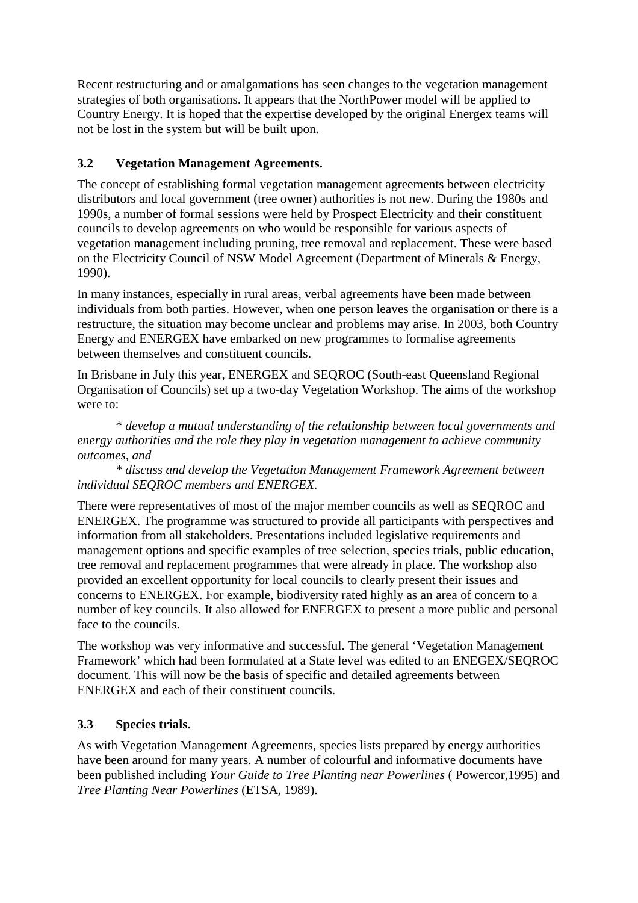Recent restructuring and or amalgamations has seen changes to the vegetation management strategies of both organisations. It appears that the NorthPower model will be applied to Country Energy. It is hoped that the expertise developed by the original Energex teams will not be lost in the system but will be built upon.

## **3.2 Vegetation Management Agreements.**

The concept of establishing formal vegetation management agreements between electricity distributors and local government (tree owner) authorities is not new. During the 1980s and 1990s, a number of formal sessions were held by Prospect Electricity and their constituent councils to develop agreements on who would be responsible for various aspects of vegetation management including pruning, tree removal and replacement. These were based on the Electricity Council of NSW Model Agreement (Department of Minerals & Energy, 1990).

In many instances, especially in rural areas, verbal agreements have been made between individuals from both parties. However, when one person leaves the organisation or there is a restructure, the situation may become unclear and problems may arise. In 2003, both Country Energy and ENERGEX have embarked on new programmes to formalise agreements between themselves and constituent councils.

In Brisbane in July this year, ENERGEX and SEQROC (South-east Queensland Regional Organisation of Councils) set up a two-day Vegetation Workshop. The aims of the workshop were to:

 \* *develop a mutual understanding of the relationship between local governments and energy authorities and the role they play in vegetation management to achieve community outcomes, and* 

 *\* discuss and develop the Vegetation Management Framework Agreement between individual SEQROC members and ENERGEX.*

There were representatives of most of the major member councils as well as SEQROC and ENERGEX. The programme was structured to provide all participants with perspectives and information from all stakeholders. Presentations included legislative requirements and management options and specific examples of tree selection, species trials, public education, tree removal and replacement programmes that were already in place. The workshop also provided an excellent opportunity for local councils to clearly present their issues and concerns to ENERGEX. For example, biodiversity rated highly as an area of concern to a number of key councils. It also allowed for ENERGEX to present a more public and personal face to the councils.

The workshop was very informative and successful. The general 'Vegetation Management Framework' which had been formulated at a State level was edited to an ENEGEX/SEQROC document. This will now be the basis of specific and detailed agreements between ENERGEX and each of their constituent councils.

#### **3.3 Species trials.**

As with Vegetation Management Agreements, species lists prepared by energy authorities have been around for many years. A number of colourful and informative documents have been published including *Your Guide to Tree Planting near Powerlines* ( Powercor,1995) and *Tree Planting Near Powerlines* (ETSA, 1989).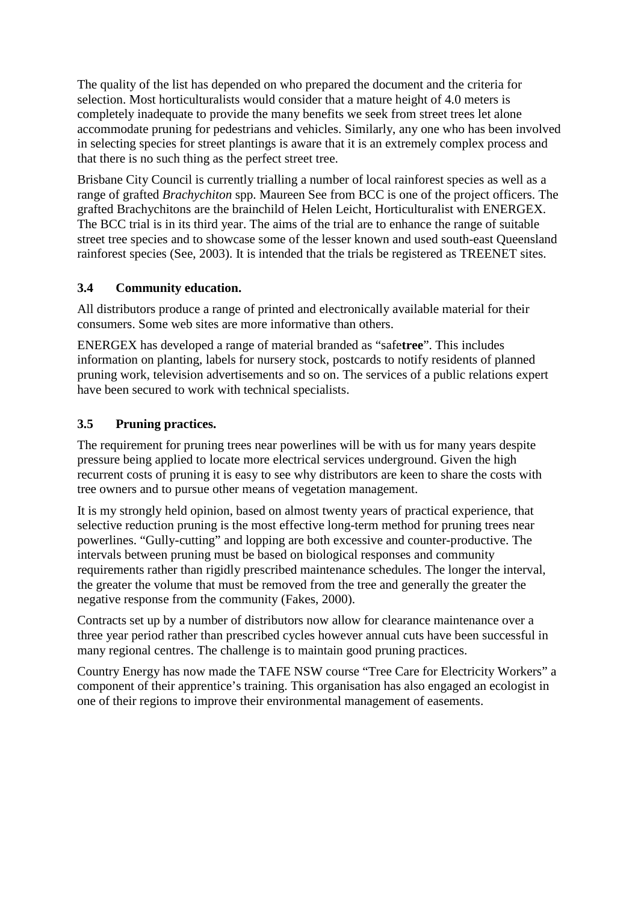The quality of the list has depended on who prepared the document and the criteria for selection. Most horticulturalists would consider that a mature height of 4.0 meters is completely inadequate to provide the many benefits we seek from street trees let alone accommodate pruning for pedestrians and vehicles. Similarly, any one who has been involved in selecting species for street plantings is aware that it is an extremely complex process and that there is no such thing as the perfect street tree.

Brisbane City Council is currently trialling a number of local rainforest species as well as a range of grafted *Brachychiton* spp. Maureen See from BCC is one of the project officers. The grafted Brachychitons are the brainchild of Helen Leicht, Horticulturalist with ENERGEX. The BCC trial is in its third year. The aims of the trial are to enhance the range of suitable street tree species and to showcase some of the lesser known and used south-east Queensland rainforest species (See, 2003). It is intended that the trials be registered as TREENET sites.

## **3.4 Community education.**

All distributors produce a range of printed and electronically available material for their consumers. Some web sites are more informative than others.

ENERGEX has developed a range of material branded as "safe**tree**". This includes information on planting, labels for nursery stock, postcards to notify residents of planned pruning work, television advertisements and so on. The services of a public relations expert have been secured to work with technical specialists.

# **3.5 Pruning practices.**

The requirement for pruning trees near powerlines will be with us for many years despite pressure being applied to locate more electrical services underground. Given the high recurrent costs of pruning it is easy to see why distributors are keen to share the costs with tree owners and to pursue other means of vegetation management.

It is my strongly held opinion, based on almost twenty years of practical experience, that selective reduction pruning is the most effective long-term method for pruning trees near powerlines. "Gully-cutting" and lopping are both excessive and counter-productive. The intervals between pruning must be based on biological responses and community requirements rather than rigidly prescribed maintenance schedules. The longer the interval, the greater the volume that must be removed from the tree and generally the greater the negative response from the community (Fakes, 2000).

Contracts set up by a number of distributors now allow for clearance maintenance over a three year period rather than prescribed cycles however annual cuts have been successful in many regional centres. The challenge is to maintain good pruning practices.

Country Energy has now made the TAFE NSW course "Tree Care for Electricity Workers" a component of their apprentice's training. This organisation has also engaged an ecologist in one of their regions to improve their environmental management of easements.